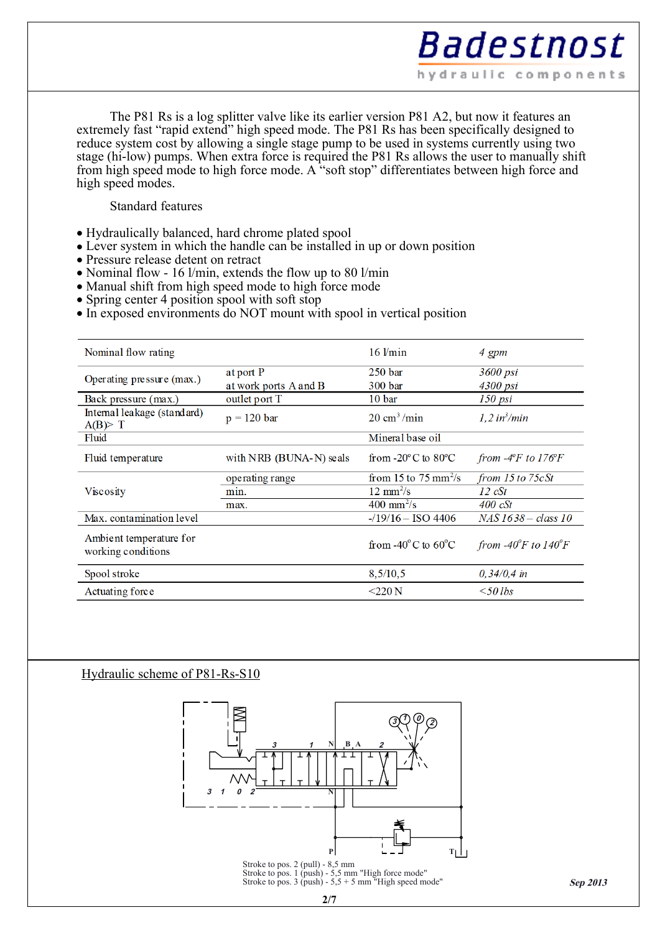The P81 Rs is a log splitter valve like its earlier version P81 A2, but now it features an extremely fast "rapid extend" high speed mode. The P81 Rs has been specifically designed to reduce system cost by allowing a single stage pump to be used in systems currently using two stage (hi-low) pumps. When extra force is required the P81 Rs allows the user to manually shift from high speed mode to high force mode. A "soft stop" differentiates between high force and high speed modes.

## Standard features

- Hydraulically balanced, hard chrome plated spool
- Lever system in which the handle can be installed in up or down position
- Pressure release detent on retract
- Nominal flow 16 l/min, extends the flow up to 80 l/min
- Manual shift from high speed mode to high force mode
- $\bullet$  Spring center 4 position spool with soft stop
- In exposed environments do NOT mount with spool in vertical position

| Nominal flow rating                           |                         | $16$ $l/min$                             | 4 gpm                                          |
|-----------------------------------------------|-------------------------|------------------------------------------|------------------------------------------------|
| Operating pressure (max.)                     | at port P               | 250 <sub>bar</sub>                       | 3600 psi                                       |
|                                               | at work ports A and B   | 300 bar                                  | 4300 psi                                       |
| Back pressure (max.)                          | outlet port T           | 10 <sub>bar</sub>                        | $150$ psi                                      |
| Internal leakage (standard)<br>$A(B)$ T       | $p = 120$ bar           | $20 \text{ cm}^3/\text{min}$             | $1, 2$ in <sup>3</sup> /min                    |
| Fluid                                         |                         | Mineral base oil                         |                                                |
| Fluid temperature                             | with NRB (BUNA-N) seals | from $-20^{\circ}$ C to $80^{\circ}$ C   | from $-4$ <sup>o</sup> F to 176 <sup>o</sup> F |
| Viscosity                                     | operating range         | from 15 to 75 mm <sup>2</sup> /s         | from $15$ to $75cSt$                           |
|                                               | min.                    | $12 \text{ mm}^2/\text{s}$               | $12 \text{ cSt}$                               |
|                                               | max.                    | $400 \text{ mm}^2/\text{s}$              | $400 \text{ cSt}$                              |
| Max. contamination level                      |                         | $-19/16 -$ ISO 4406                      | $NAS$ 1638 – class 10                          |
| Ambient temperature for<br>working conditions |                         | from -40 $^{\circ}$ C to 60 $^{\circ}$ C | from -40 $\degree$ F to 140 $\degree$ F        |
| Spool stroke                                  |                         | 8,5/10,5                                 | $0,34/0,4$ in                                  |
| Actuating force                               |                         | $<$ 220 N                                | $\leq 50$ lbs                                  |

## Hydraulic scheme of P81-Rs-S10

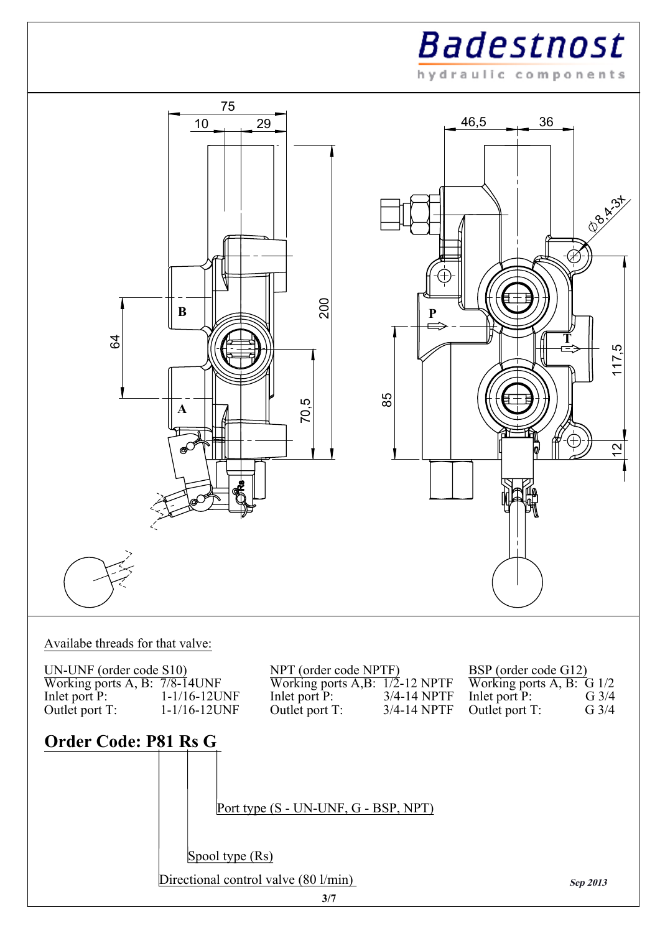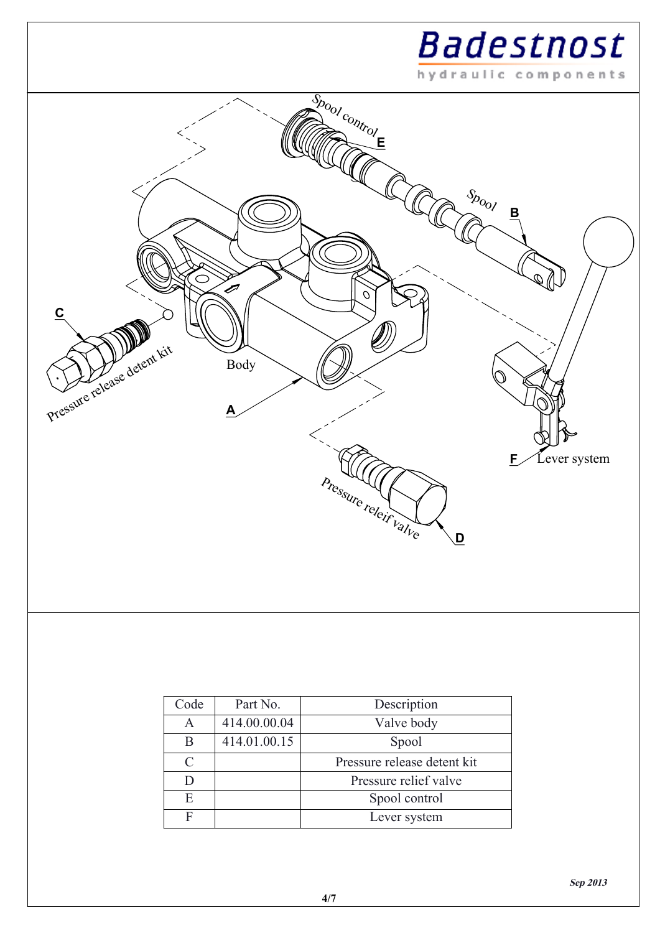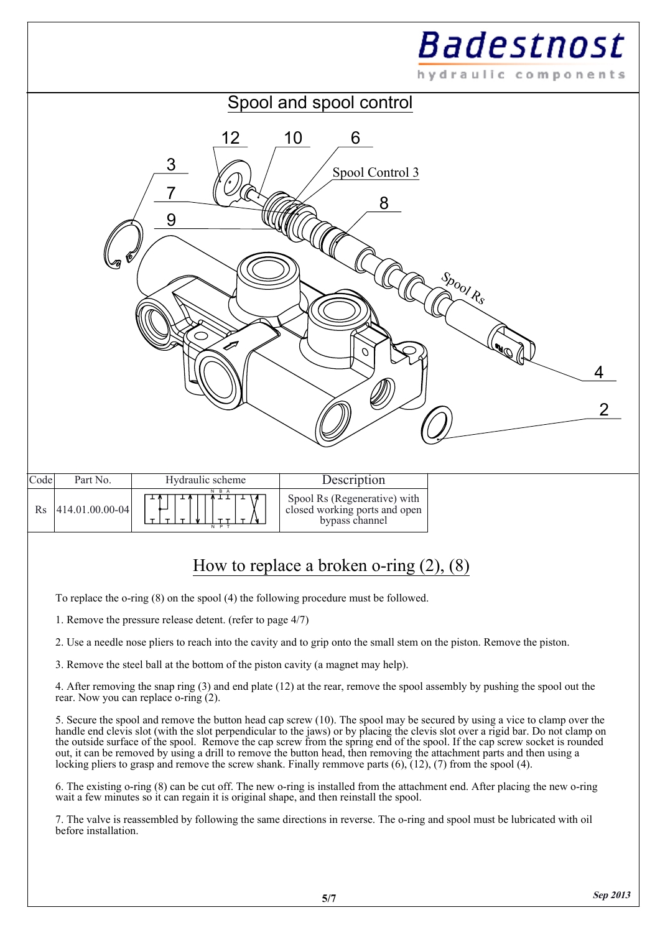

To replace the o-ring (8) on the spool (4) the following procedure must be followed.

1. Remove the pressure release detent. (refer to page 4/7)

2. Use a needle nose pliers to reach into the cavity and to grip onto the small stem on the piston. Remove the piston.

3. Remove the steel ball at the bottom of the piston cavity (a magnet may help).

4. After removing the snap ring (3) and end plate (12) at the rear, remove the spool assembly by pushing the spool out the rear. Now you can replace o-ring (2).

5. Secure the spool and remove the button head cap screw (10). The spool may be secured by using a vice to clamp over the handle end clevis slot (with the slot perpendicular to the jaws) or by placing the clevis slot over a rigid bar. Do not clamp on the outside surface of the spool. Remove the cap screw from the spring end of the spool. If the cap screw socket is rounded out, it can be removed by using a drill to remove the button head, then removing the attachment parts and then using a locking pliers to grasp and remove the screw shank. Finally remmove parts  $(6)$ ,  $(12)$ ,  $(7)$  from the spool  $(4)$ .

6. The existing o-ring (8) can be cut off. The new o-ring is installed from the attachment end. After placing the new o-ring wait a few minutes so it can regain it is original shape, and then reinstall the spool.

7. The valve is reassembled by following the same directions in reverse. The o-ring and spool must be lubricated with oil before installation.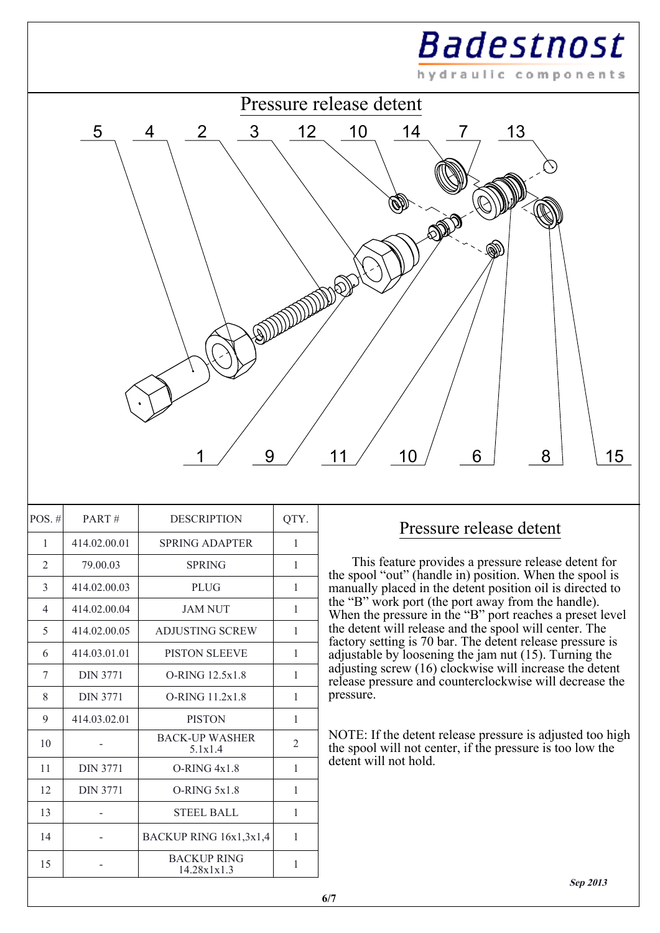

| $POS. \#$      | PART#           | <b>DESCRIPTION</b>                | QTY.           |
|----------------|-----------------|-----------------------------------|----------------|
| 1              | 414.02.00.01    | <b>SPRING ADAPTER</b>             | 1              |
| $\overline{2}$ | 79.00.03        | <b>SPRING</b>                     | 1              |
| 3              | 414.02.00.03    | <b>PLUG</b>                       | 1              |
| $\overline{4}$ | 414.02.00.04    | <b>JAM NUT</b>                    | 1              |
| 5              | 414.02.00.05    | <b>ADJUSTING SCREW</b>            | 1              |
| 6              | 414.03.01.01    | <b>PISTON SLEEVE</b>              | 1              |
| 7              | <b>DIN 3771</b> | O-RING 12.5x1.8                   | 1              |
| 8              | <b>DIN 3771</b> | O-RING 11.2x1.8                   | 1              |
| 9              | 414.03.02.01    | <b>PISTON</b>                     | 1              |
| 10             |                 | <b>BACK-UP WASHER</b><br>5.1x1.4  | $\overline{2}$ |
| 11             | <b>DIN 3771</b> | $O-RING 4x1.8$                    | 1              |
| 12             | <b>DIN 3771</b> | $O-RING$ $5x1.8$                  | 1              |
| 13             |                 | <b>STEEL BALL</b>                 | 1              |
| 14             |                 | BACKUP RING 16x1,3x1,4            | 1              |
| 15             |                 | <b>BACKUP RING</b><br>14.28x1x1.3 | 1              |
|                |                 |                                   |                |

## Pressure release detent

 This feature provides a pressure release detent for the spool "out" (handle in) position. When the spool is manually placed in the detent position oil is directed to the "B" work port (the port away from the handle). When the pressure in the "B" port reaches a preset level the detent will release and the spool will center. The factory setting is 70 bar. The detent release pressure is adjustable by loosening the jam nut (15). Turning the adjusting screw (16) clockwise will increase the detent release pressure and counterclockwise will decrease the pressure.

NOTE: If the detent release pressure is adjusted too high the spool will not center, if the pressure is too low the detent will not hold.